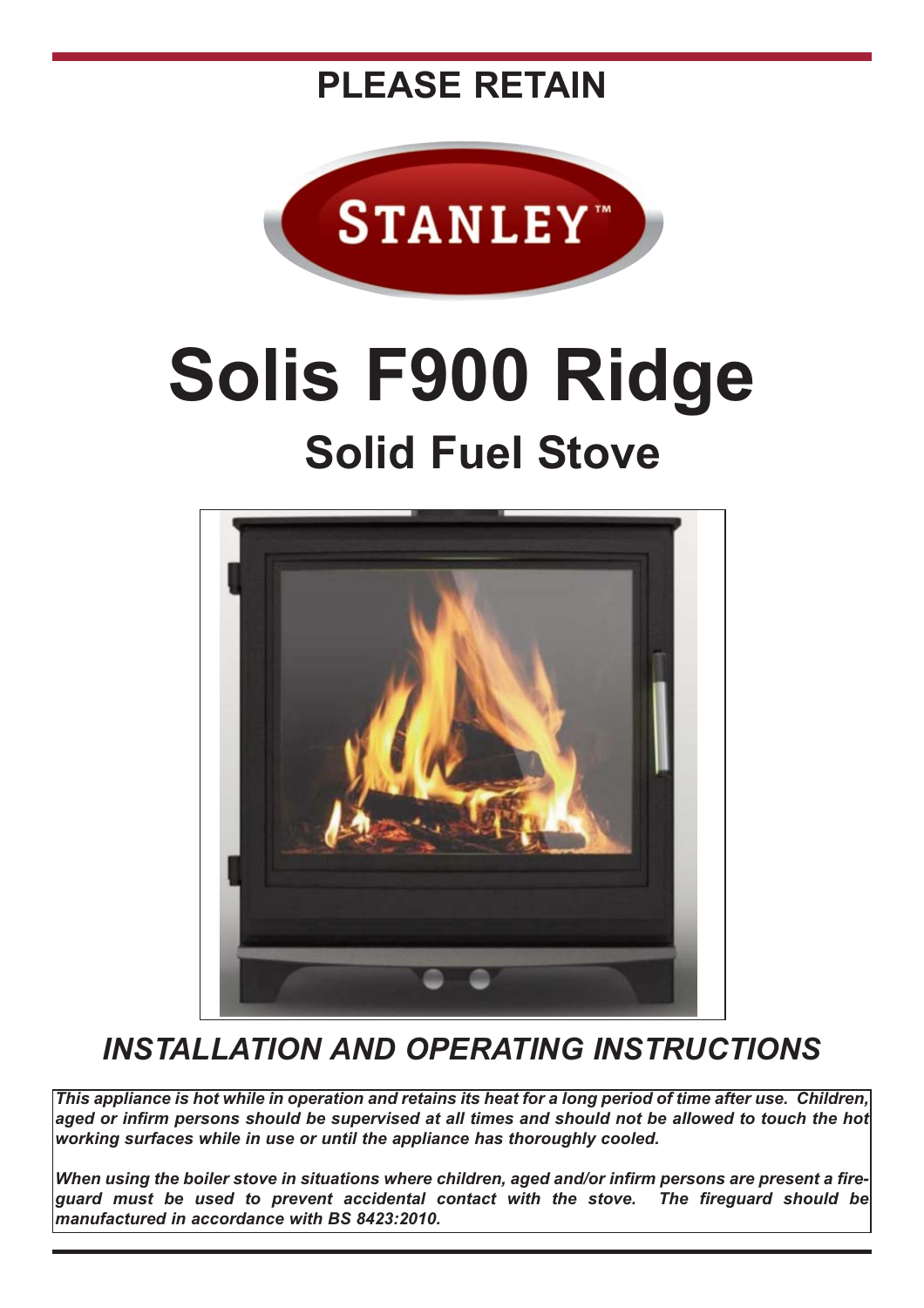# **PLEASE RETAIN**



# **Solis F900 Ridge Solid Fuel Stove**



*INSTALLATION AND OPERATING INSTRUCTIONS*

*This appliance is hot while in operation and retains its heat for a long period of time after use. Children, aged or infirm persons should be supervised at all times and should not be allowed to touch the hot working surfaces while in use or until the appliance has thoroughly cooled.*

*When using the boiler stove in situations where children, aged and/or infirm persons are present a fireguard must be used to prevent accidental contact with the stove. The fireguard should be manufactured in accordance with BS 8423:2010.*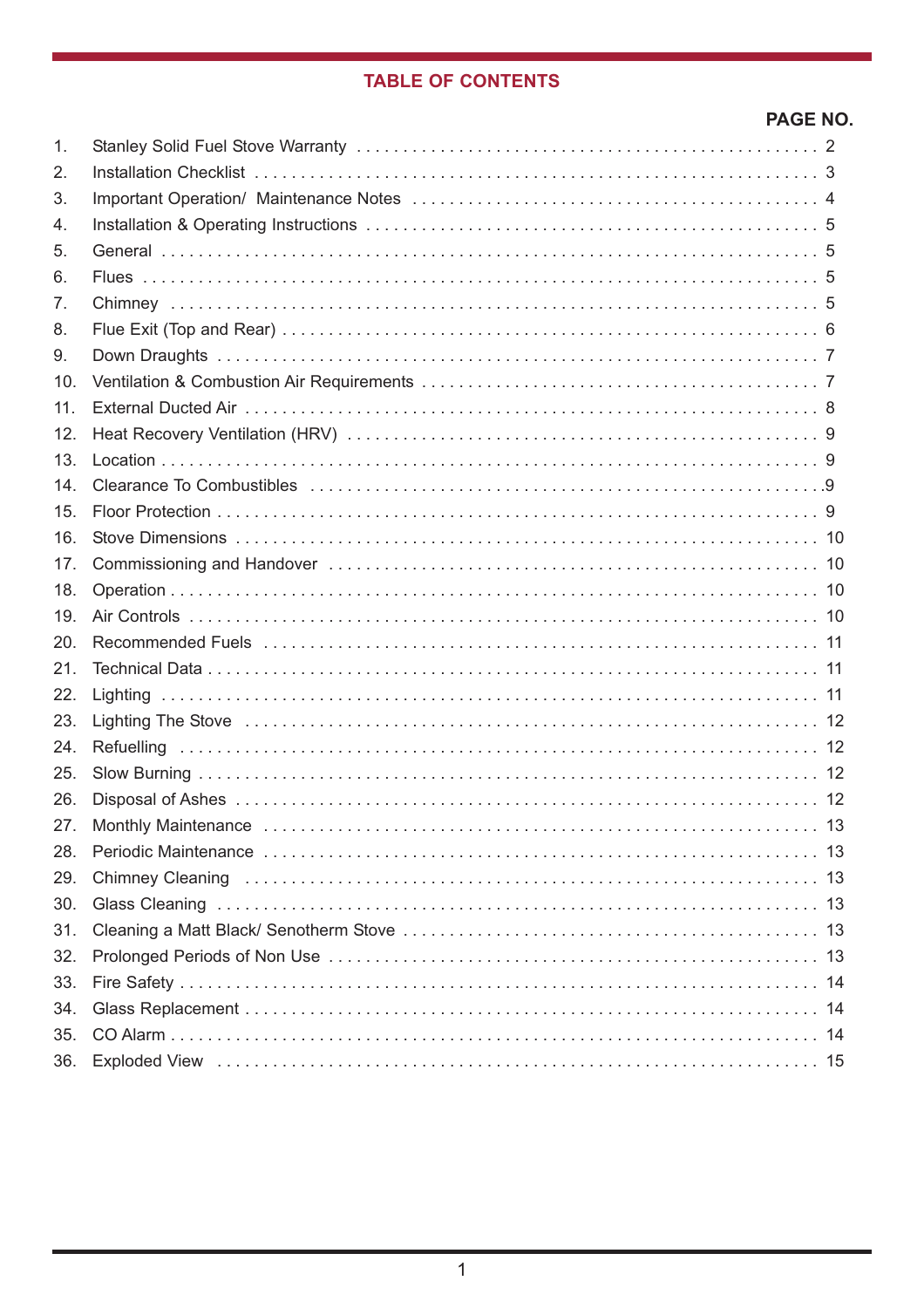# **TABLE OF CONTENTS**

|                 | <b>PAGE NO.</b> |
|-----------------|-----------------|
| 1.              |                 |
| 2.              |                 |
| 3.              |                 |
| 4.              |                 |
| 5.              |                 |
| 6.              |                 |
| 7.              |                 |
| 8.              |                 |
| 9.              |                 |
| 10.             |                 |
| 11.             |                 |
| 12.             |                 |
| 13.             |                 |
| 14.             |                 |
| 15.             |                 |
| 16.             |                 |
| 17 <sub>1</sub> |                 |
| 18.             |                 |
| 19.             |                 |
| 20.             |                 |
| 21.             |                 |
| 22.             |                 |
| 23.             |                 |
| 24.             |                 |
| 25.             |                 |
| 26.             |                 |
| 27.             |                 |
| 28.             |                 |
| 29.             |                 |
| 30.             |                 |
| 31.             |                 |
| 32.             |                 |
| 33.             |                 |
| 34.             |                 |
| 35.             |                 |
| 36.             |                 |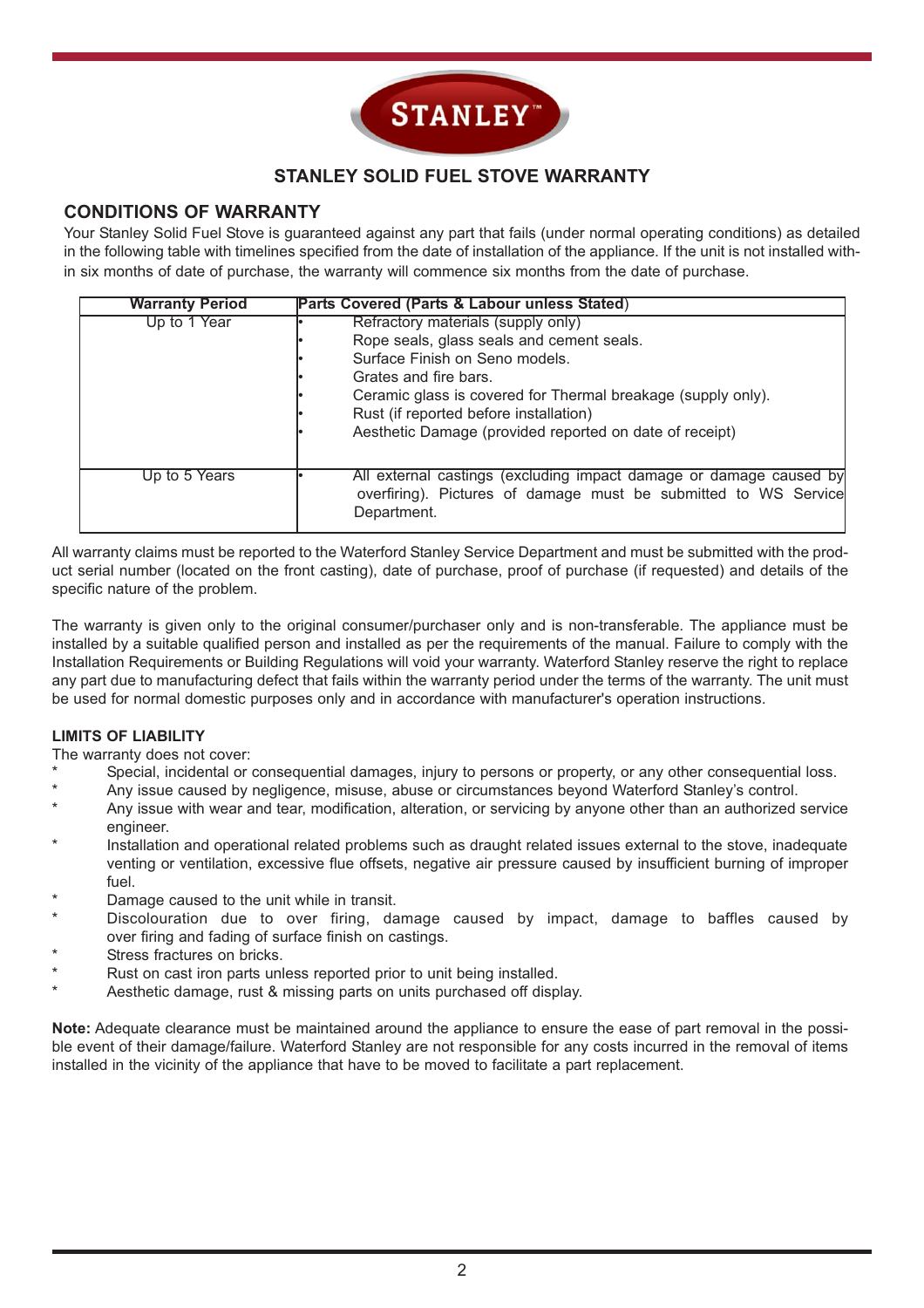

# **STANLEY SOLID FUEL STOVE WARRANTY**

# **CONDITIONS OF WARRANTY**

Your Stanley Solid Fuel Stove is guaranteed against any part that fails (under normal operating conditions) as detailed in the following table with timelines specified from the date of installation of the appliance. If the unit is not installed within six months of date of purchase, the warranty will commence six months from the date of purchase.

| <b>Warranty Period</b> | Parts Covered (Parts & Labour unless Stated)                                                                                                                                                                                                                                                                    |
|------------------------|-----------------------------------------------------------------------------------------------------------------------------------------------------------------------------------------------------------------------------------------------------------------------------------------------------------------|
| Up to 1 Year           | Refractory materials (supply only)<br>Rope seals, glass seals and cement seals.<br>Surface Finish on Seno models.<br>Grates and fire bars.<br>Ceramic glass is covered for Thermal breakage (supply only).<br>Rust (if reported before installation)<br>Aesthetic Damage (provided reported on date of receipt) |
| Up to 5 Years          | All external castings (excluding impact damage or damage caused by<br>overfiring). Pictures of damage must be submitted to WS Service<br>Department.                                                                                                                                                            |

All warranty claims must be reported to the Waterford Stanley Service Department and must be submitted with the product serial number (located on the front casting), date of purchase, proof of purchase (if requested) and details of the specific nature of the problem.

The warranty is given only to the original consumer/purchaser only and is non-transferable. The appliance must be installed by a suitable qualified person and installed as per the requirements of the manual. Failure to comply with the Installation Requirements or Building Regulations will void your warranty. Waterford Stanley reserve the right to replace any part due to manufacturing defect that fails within the warranty period under the terms of the warranty. The unit must be used for normal domestic purposes only and in accordance with manufacturer's operation instructions.

## **LIMITS OF LIABILITY**

The warranty does not cover:

- Special, incidental or consequential damages, injury to persons or property, or any other consequential loss.
- Any issue caused by negligence, misuse, abuse or circumstances beyond Waterford Stanley's control.
- Any issue with wear and tear, modification, alteration, or servicing by anyone other than an authorized service engineer.
- Installation and operational related problems such as draught related issues external to the stove, inadequate venting or ventilation, excessive flue offsets, negative air pressure caused by insufficient burning of improper fuel.
- Damage caused to the unit while in transit.
- Discolouration due to over firing, damage caused by impact, damage to baffles caused by over firing and fading of surface finish on castings.
- Stress fractures on bricks.
- Rust on cast iron parts unless reported prior to unit being installed.
- Aesthetic damage, rust & missing parts on units purchased off display.

**Note:** Adequate clearance must be maintained around the appliance to ensure the ease of part removal in the possible event of their damage/failure. Waterford Stanley are not responsible for any costs incurred in the removal of items installed in the vicinity of the appliance that have to be moved to facilitate a part replacement.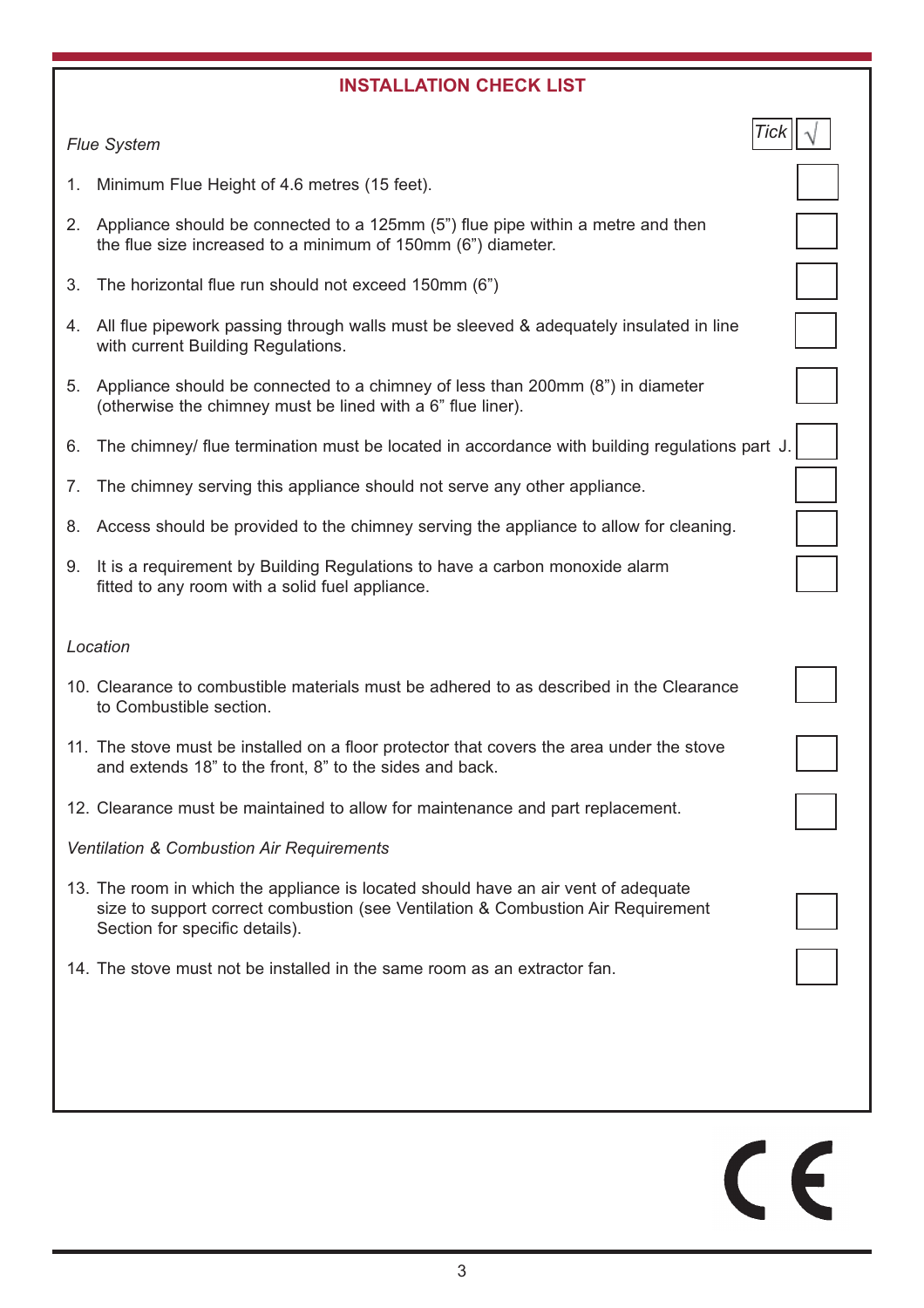# **INSTALLATION CHECK LIST**

|    | <b>Flue System</b>                                                                                                                                                                                       | I ICk          |
|----|----------------------------------------------------------------------------------------------------------------------------------------------------------------------------------------------------------|----------------|
| 1. | Minimum Flue Height of 4.6 metres (15 feet).                                                                                                                                                             |                |
|    | 2. Appliance should be connected to a 125mm (5") flue pipe within a metre and then<br>the flue size increased to a minimum of 150mm (6") diameter.                                                       |                |
| 3. | The horizontal flue run should not exceed 150mm (6")                                                                                                                                                     |                |
|    | 4. All flue pipework passing through walls must be sleeved & adequately insulated in line<br>with current Building Regulations.                                                                          |                |
|    | 5. Appliance should be connected to a chimney of less than 200mm (8") in diameter<br>(otherwise the chimney must be lined with a 6" flue liner).                                                         |                |
| 6. | The chimney/ flue termination must be located in accordance with building regulations part J.                                                                                                            |                |
| 7. | The chimney serving this appliance should not serve any other appliance.                                                                                                                                 |                |
| 8. | Access should be provided to the chimney serving the appliance to allow for cleaning.                                                                                                                    |                |
| 9. | It is a requirement by Building Regulations to have a carbon monoxide alarm<br>fitted to any room with a solid fuel appliance.                                                                           |                |
|    | Location                                                                                                                                                                                                 |                |
|    | 10. Clearance to combustible materials must be adhered to as described in the Clearance<br>to Combustible section.                                                                                       |                |
|    | 11. The stove must be installed on a floor protector that covers the area under the stove<br>and extends 18" to the front, 8" to the sides and back.                                                     |                |
|    | 12. Clearance must be maintained to allow for maintenance and part replacement.                                                                                                                          |                |
|    | <b>Ventilation &amp; Combustion Air Requirements</b>                                                                                                                                                     |                |
|    | 13. The room in which the appliance is located should have an air vent of adequate<br>size to support correct combustion (see Ventilation & Combustion Air Requirement<br>Section for specific details). |                |
|    | 14. The stove must not be installed in the same room as an extractor fan.                                                                                                                                |                |
|    |                                                                                                                                                                                                          |                |
|    |                                                                                                                                                                                                          |                |
|    |                                                                                                                                                                                                          |                |
|    |                                                                                                                                                                                                          |                |
|    |                                                                                                                                                                                                          | C <sub>f</sub> |
|    |                                                                                                                                                                                                          |                |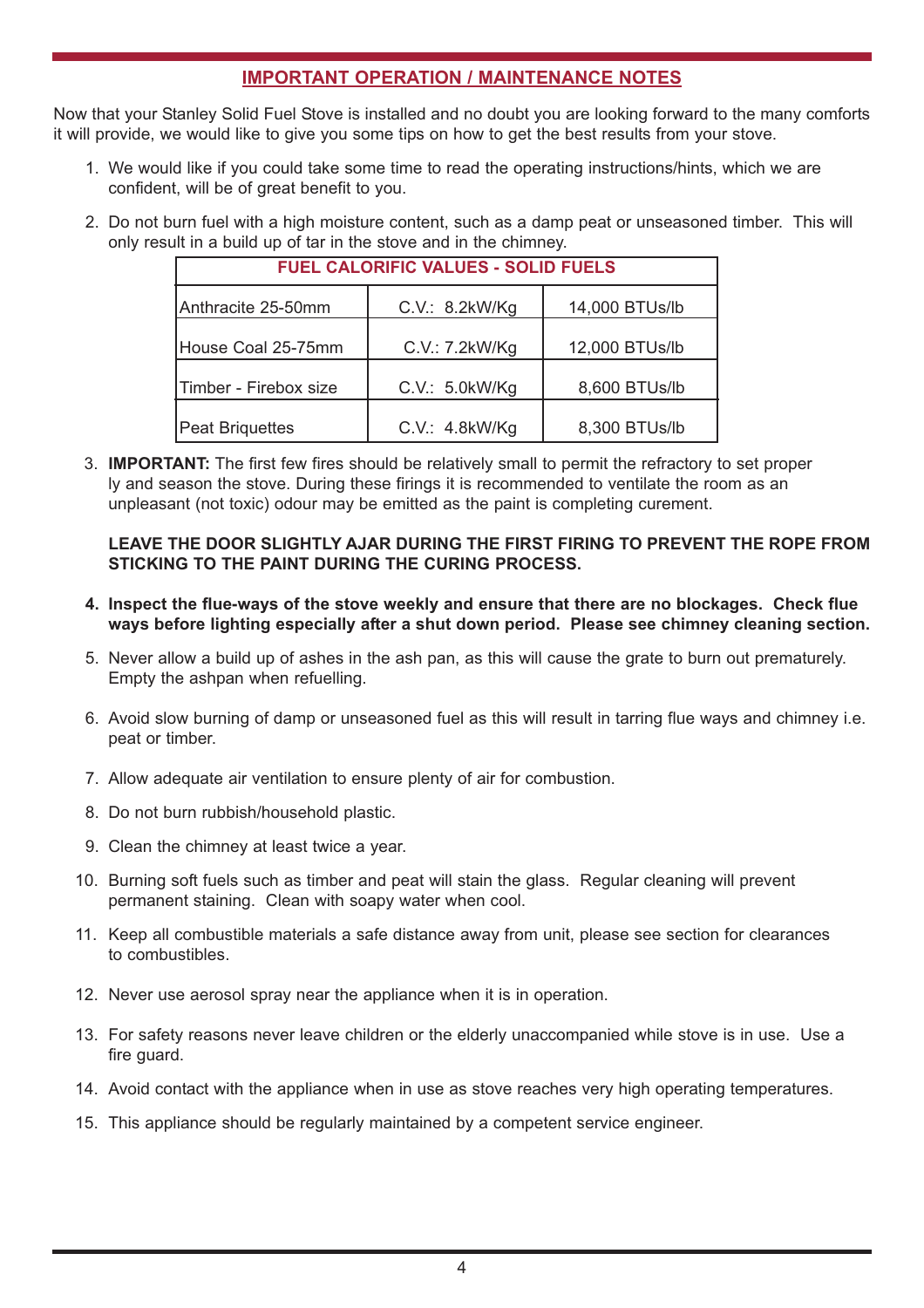# **IMPORTANT OPERATION / MAINTENANCE NOTES**

Now that your Stanley Solid Fuel Stove is installed and no doubt you are looking forward to the many comforts it will provide, we would like to give you some tips on how to get the best results from your stove.

- 1. We would like if you could take some time to read the operating instructions/hints, which we are confident, will be of great benefit to you.
- 2. Do not burn fuel with a high moisture content, such as a damp peat or unseasoned timber. This will only result in a build up of tar in the stove and in the chimney.

| <b>FUEL CALORIFIC VALUES - SOLID FUELS</b> |                |                |  |  |
|--------------------------------------------|----------------|----------------|--|--|
| Anthracite 25-50mm                         | C.V.: 8.2kW/Kg | 14,000 BTUs/lb |  |  |
| House Coal 25-75mm                         | C.V.: 7.2kW/Kg | 12,000 BTUs/lb |  |  |
| Timber - Firebox size                      | C.V.: 5.0kW/Kg | 8,600 BTUs/lb  |  |  |
| <b>Peat Briquettes</b>                     | C.V.: 4.8kW/Kg | 8,300 BTUs/lb  |  |  |

3. **IMPORTANT:**The first few fires should be relatively small to permit the refractory to set proper ly and season the stove. During these firings it is recommended to ventilate the room as an unpleasant (not toxic) odour may be emitted as the paint is completing curement.

# **LEAVE THE DOOR SLIGHTLY AJAR DURING THE FIRST FIRING TO PREVENT THE ROPE FROM STICKING TO THE PAINT DURING THE CURING PROCESS.**

- **4. Inspect the flue-ways of the stove weekly and ensure that there are no blockages. Check flue ways before lighting especially after a shut down period. Please see chimney cleaning section.**
- 5. Never allow a build up of ashes in the ash pan, as this will cause the grate to burn out prematurely. Empty the ashpan when refuelling.
- 6. Avoid slow burning of damp or unseasoned fuel as this will result in tarring flue ways and chimney i.e. peat or timber.
- 7. Allow adequate air ventilation to ensure plenty of air for combustion.
- 8. Do not burn rubbish/household plastic.
- 9. Clean the chimney at least twice a year.
- 10. Burning soft fuels such as timber and peat will stain the glass. Regular cleaning will prevent permanent staining. Clean with soapy water when cool.
- 11. Keep all combustible materials a safe distance away from unit, please see section for clearances to combustibles.
- 12. Never use aerosol spray near the appliance when it is in operation.
- 13. For safety reasons never leave children or the elderly unaccompanied while stove is in use. Use a fire guard.
- 14. Avoid contact with the appliance when in use as stove reaches very high operating temperatures.
- 15. This appliance should be regularly maintained by a competent service engineer.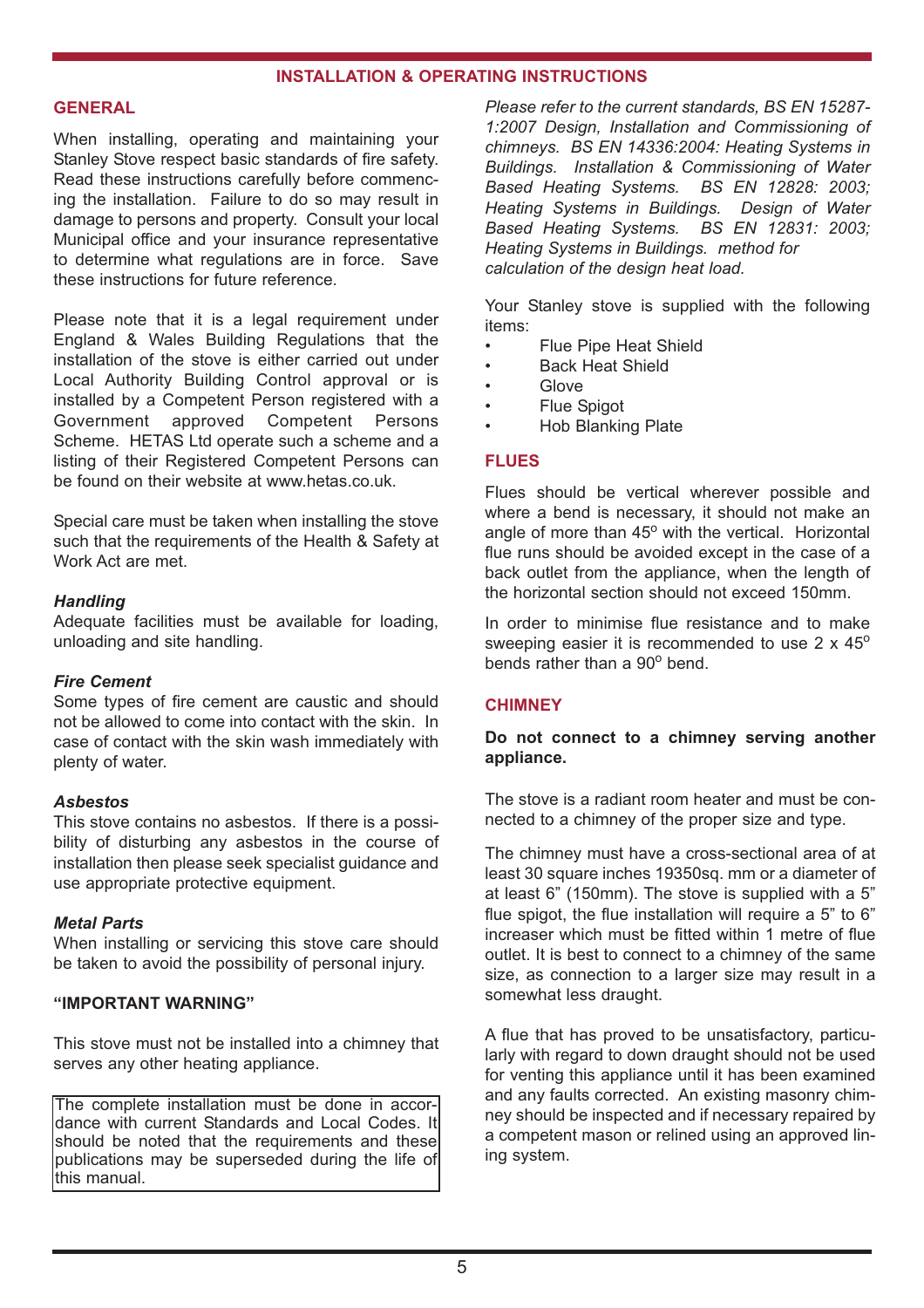# **INSTALLATION & OPERATING INSTRUCTIONS**

# **GENERAL**

When installing, operating and maintaining your Stanley Stove respect basic standards of fire safety. Read these instructions carefully before commencing the installation. Failure to do so may result in damage to persons and property. Consult your local Municipal office and your insurance representative to determine what regulations are in force. Save these instructions for future reference.

Please note that it is a legal requirement under England & Wales Building Regulations that the installation of the stove is either carried out under Local Authority Building Control approval or is installed by a Competent Person registered with a Government approved Competent Persons Scheme. HETAS Ltd operate such a scheme and a listing of their Registered Competent Persons can be found on their website at www.hetas.co.uk.

Special care must be taken when installing the stove such that the requirements of the Health & Safety at Work Act are met.

## *Handling*

Adequate facilities must be available for loading, unloading and site handling.

## *Fire Cement*

Some types of fire cement are caustic and should not be allowed to come into contact with the skin. In case of contact with the skin wash immediately with plenty of water.

#### *Asbestos*

This stove contains no asbestos. If there is a possibility of disturbing any asbestos in the course of installation then please seek specialist guidance and use appropriate protective equipment.

# *Metal Parts*

When installing or servicing this stove care should be taken to avoid the possibility of personal injury.

#### **"IMPORTANT WARNING"**

This stove must not be installed into a chimney that serves any other heating appliance.

The complete installation must be done in accordance with current Standards and Local Codes. It should be noted that the requirements and these publications may be superseded during the life of this manual.

*Please refer to the current standards, BS EN 15287- 1:2007 Design, Installation and Commissioning of chimneys. BS EN 14336:2004: Heating Systems in Buildings. Installation & Commissioning of Water Based Heating Systems. BS EN 12828: 2003; Heating Systems in Buildings. Design of Water Based Heating Systems. BS EN 12831: 2003; Heating Systems in Buildings. method for calculation of the design heat load.*

Your Stanley stove is supplied with the following items:

- Flue Pipe Heat Shield
- **Back Heat Shield**
- Glove
- **Flue Spigot**
- Hob Blanking Plate

#### **FLUES**

Flues should be vertical wherever possible and where a bend is necessary, it should not make an angle of more than 45° with the vertical. Horizontal flue runs should be avoided except in the case of a back outlet from the appliance, when the length of the horizontal section should not exceed 150mm.

In order to minimise flue resistance and to make sweeping easier it is recommended to use  $2 \times 45^\circ$ bends rather than a  $90^{\circ}$  bend.

# **CHIMNEY**

## **Do not connect to a chimney serving another appliance.**

The stove is a radiant room heater and must be connected to a chimney of the proper size and type.

The chimney must have a cross-sectional area of at least 30 square inches 19350sq. mm or a diameter of at least 6" (150mm). The stove is supplied with a 5" flue spigot, the flue installation will require a 5" to 6" increaser which must be fitted within 1 metre of flue outlet. It is best to connect to a chimney of the same size, as connection to a larger size may result in a somewhat less draught.

A flue that has proved to be unsatisfactory, particularly with regard to down draught should not be used for venting this appliance until it has been examined and any faults corrected. An existing masonry chimney should be inspected and if necessary repaired by a competent mason or relined using an approved lining system.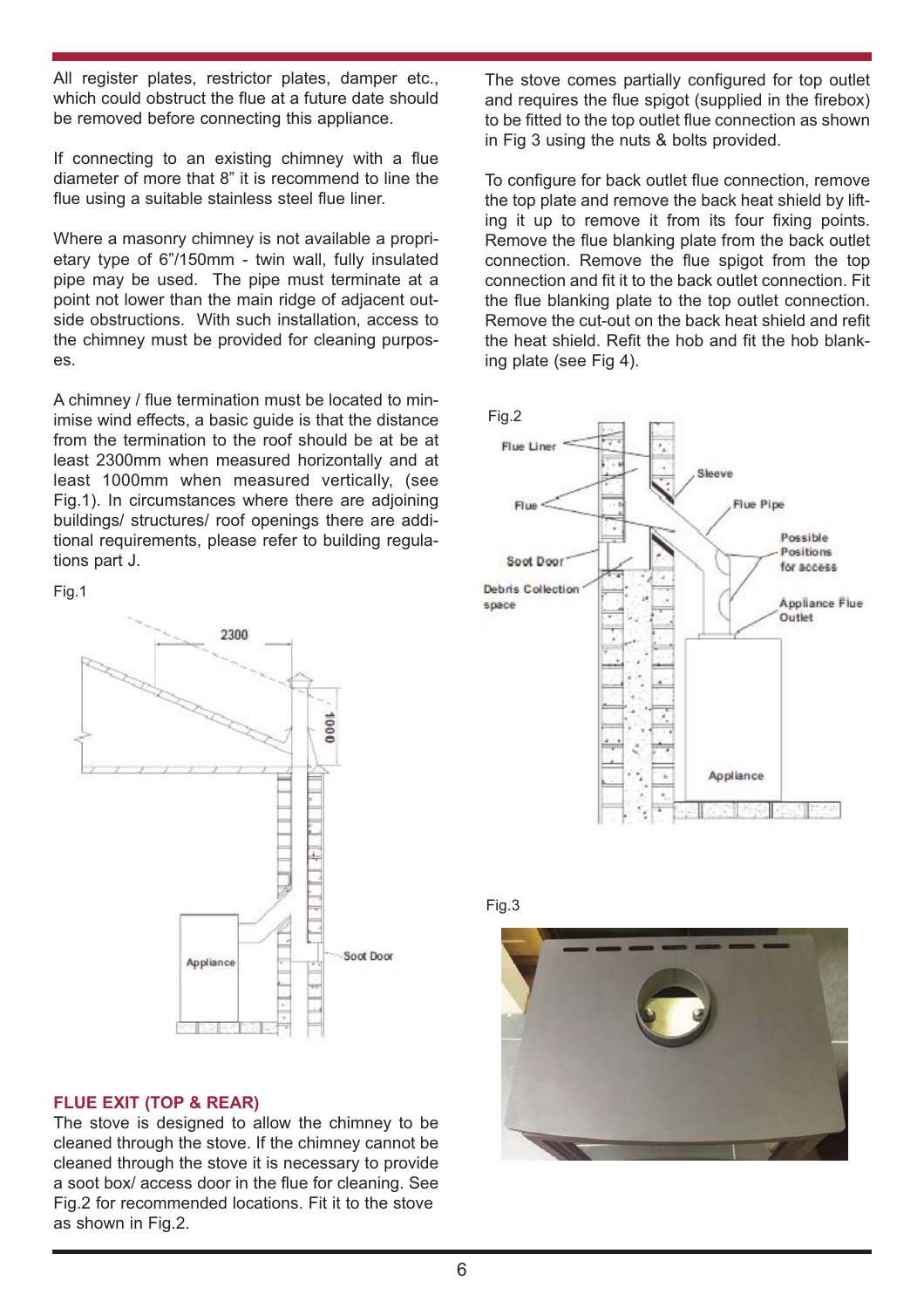All register plates, restrictor plates, damper etc., which could obstruct the flue at a future date should be removed before connecting this appliance.

If connecting to an existing chimney with a flue diameter of more that 8" it is recommend to line the flue using a suitable stainless steel flue liner.

Where a masonry chimney is not available a proprietary type of 6"/150mm - twin wall, fully insulated pipe may be used. The pipe must terminate at a point not lower than the main ridge of adjacent outside obstructions. With such installation, access to the chimney must be provided for cleaning purposes.

A chimney / flue termination must be located to minimise wind effects, a basic guide is that the distance from the termination to the roof should be at be at least 2300mm when measured horizontally and at least 1000mm when measured vertically, (see Fig.1). In circumstances where there are adjoining buildings/ structures/ roof openings there are additional requirements, please refer to building regulations part J.

Fig.1



## **FLUE EXIT (TOP & REAR)**

The stove is designed to allow the chimney to be cleaned through the stove. If the chimney cannot be cleaned through the stove it is necessary to provide a soot box/ access door in the flue for cleaning. See Fig.2 for recommended locations. Fit it to the stove as shown in Fig.2.

The stove comes partially configured for top outlet and requires the flue spigot (supplied in the firebox) to be fitted to the top outlet flue connection as shown in Fig 3 using the nuts & bolts provided.

To configure for back outlet flue connection, remove the top plate and remove the back heat shield by lifting it up to remove it from its four fixing points. Remove the flue blanking plate from the back outlet connection. Remove the flue spigot from the top connection and fit it to the back outlet connection. Fit the flue blanking plate to the top outlet connection. Remove the cut-out on the back heat shield and refit the heat shield. Refit the hob and fit the hob blanking plate (see Fig 4).





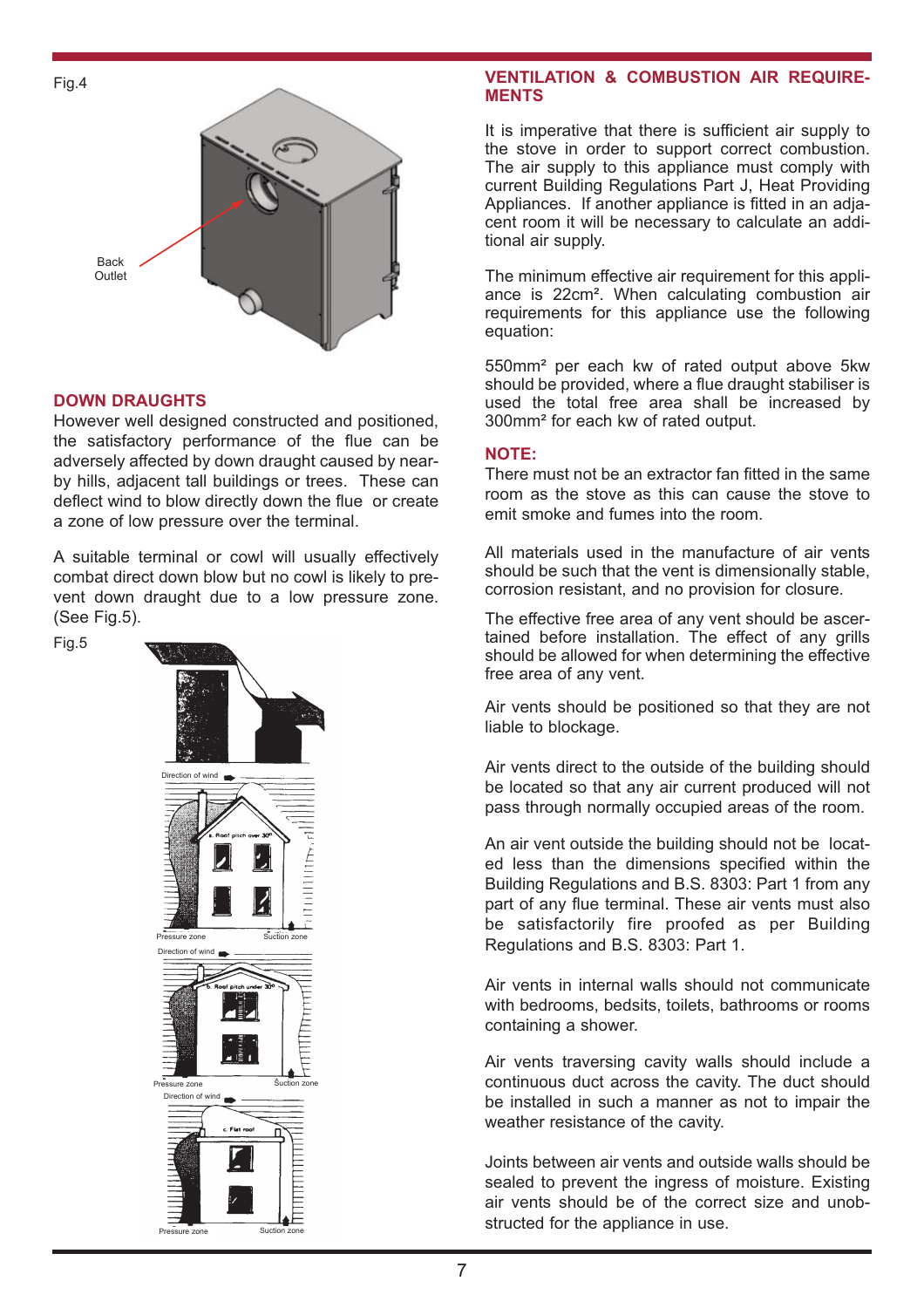

# **DOWN DRAUGHTS**

However well designed constructed and positioned, the satisfactory performance of the flue can be adversely affected by down draught caused by nearby hills, adjacent tall buildings or trees. These can deflect wind to blow directly down the flue or create a zone of low pressure over the terminal.

A suitable terminal or cowl will usually effectively combat direct down blow but no cowl is likely to prevent down draught due to a low pressure zone. (See Fig.5).

Fig.5



# **VENTILATION & COMBUSTION AIR REQUIRE-MENTS**

It is imperative that there is sufficient air supply to the stove in order to support correct combustion. The air supply to this appliance must comply with current Building Regulations Part J, Heat Providing Appliances. If another appliance is fitted in an adjacent room it will be necessary to calculate an additional air supply.

The minimum effective air requirement for this appliance is 22cm². When calculating combustion air requirements for this appliance use the following equation:

550mm² per each kw of rated output above 5kw should be provided, where a flue draught stabiliser is used the total free area shall be increased by 300mm² for each kw of rated output.

## **NOTE:**

There must not be an extractor fan fitted in the same room as the stove as this can cause the stove to emit smoke and fumes into the room.

All materials used in the manufacture of air vents should be such that the vent is dimensionally stable, corrosion resistant, and no provision for closure.

The effective free area of any vent should be ascertained before installation. The effect of any grills should be allowed for when determining the effective free area of any vent.

Air vents should be positioned so that they are not liable to blockage.

Air vents direct to the outside of the building should be located so that any air current produced will not pass through normally occupied areas of the room.

An air vent outside the building should not be located less than the dimensions specified within the Building Regulations and B.S. 8303: Part 1 from any part of any flue terminal. These air vents must also be satisfactorily fire proofed as per Building Regulations and B.S. 8303: Part 1.

Air vents in internal walls should not communicate with bedrooms, bedsits, toilets, bathrooms or rooms containing a shower.

Air vents traversing cavity walls should include a continuous duct across the cavity. The duct should be installed in such a manner as not to impair the weather resistance of the cavity.

Joints between air vents and outside walls should be sealed to prevent the ingress of moisture. Existing air vents should be of the correct size and unobstructed for the appliance in use.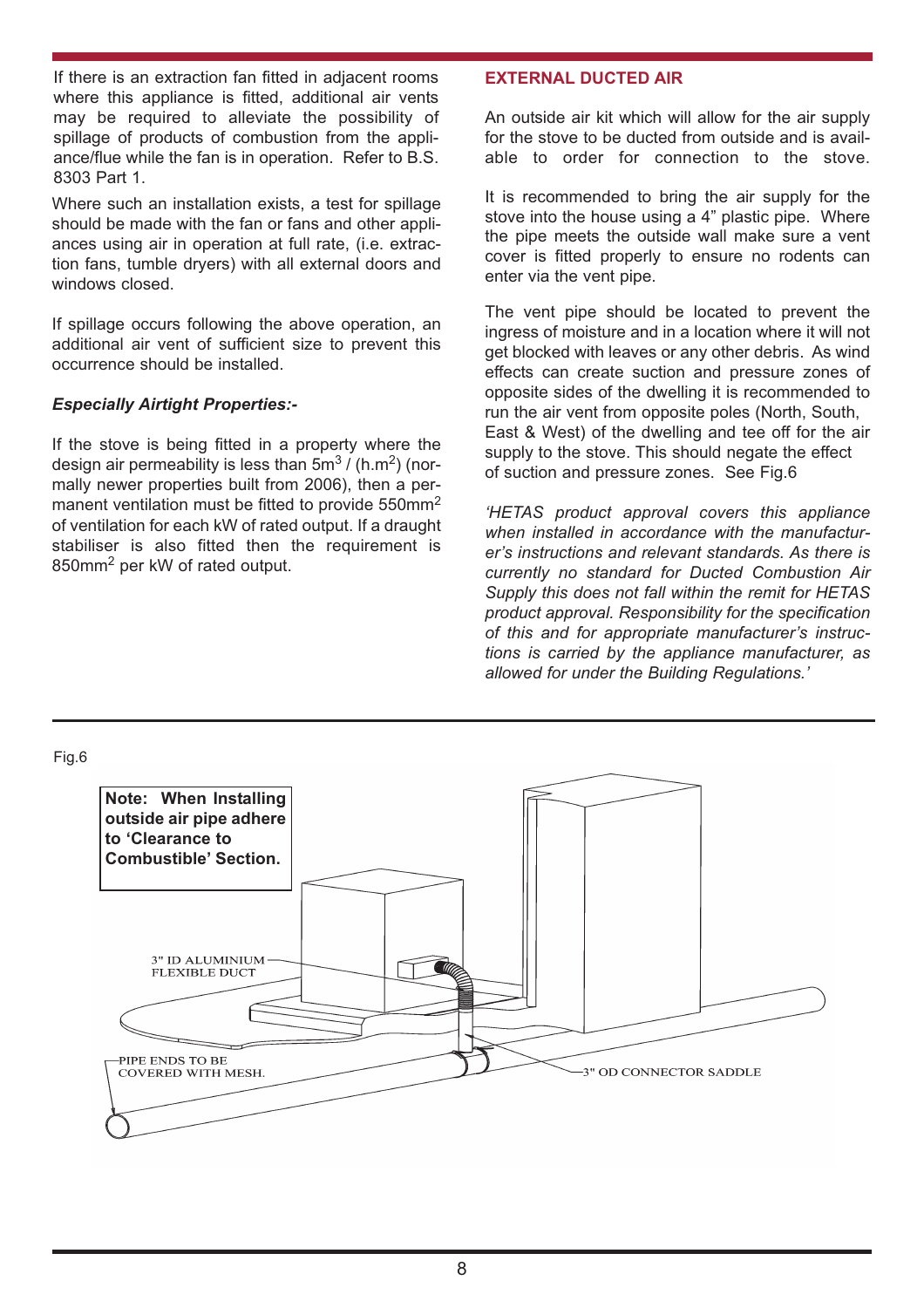If there is an extraction fan fitted in adjacent rooms where this appliance is fitted, additional air vents may be required to alleviate the possibility of spillage of products of combustion from the appliance/flue while the fan is in operation. Refer to B.S. 8303 Part 1.

Where such an installation exists, a test for spillage should be made with the fan or fans and other appliances using air in operation at full rate, (i.e. extraction fans, tumble dryers) with all external doors and windows closed.

If spillage occurs following the above operation, an additional air vent of sufficient size to prevent this occurrence should be installed.

# *Especially Airtight Properties:-*

If the stove is being fitted in a property where the design air permeability is less than  $5m^3$  / (h.m<sup>2</sup>) (normally newer properties built from 2006), then a permanent ventilation must be fitted to provide  $550$ mm<sup>2</sup> of ventilation for each kW of rated output. If a draught stabiliser is also fitted then the requirement is 850mm<sup>2</sup> per kW of rated output.

# **EXTERNAL DUCTED AIR**

An outside air kit which will allow for the air supply for the stove to be ducted from outside and is available to order for connection to the stove.

It is recommended to bring the air supply for the stove into the house using a 4" plastic pipe. Where the pipe meets the outside wall make sure a vent cover is fitted properly to ensure no rodents can enter via the vent pipe.

The vent pipe should be located to prevent the ingress of moisture and in a location where it will not get blocked with leaves or any other debris. As wind effects can create suction and pressure zones of opposite sides of the dwelling it is recommended to run the air vent from opposite poles (North, South, East & West) of the dwelling and tee off for the air supply to the stove. This should negate the effect of suction and pressure zones. See Fig.6

*'HETAS product approval covers this appliance when installed in accordance with the manufacturer's instructions and relevant standards. As there is currently no standard for Ducted Combustion Air Supply this does not fall within the remit for HETAS product approval. Responsibility for the specification of this and for appropriate manufacturer's instructions is carried by the appliance manufacturer, as allowed for under the Building Regulations.'*



# Fig.6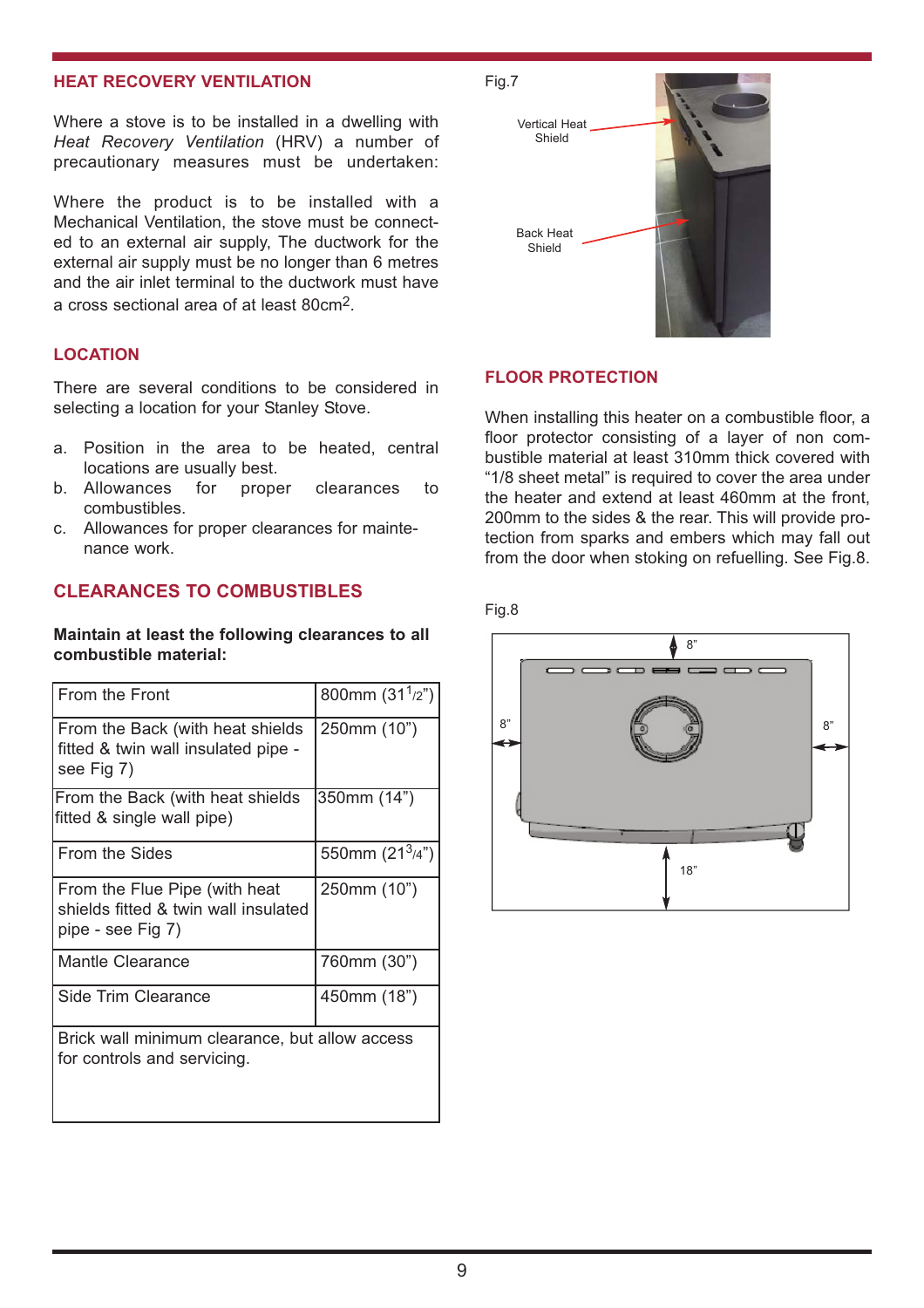# **HEAT RECOVERY VENTILATION**

Where a stove is to be installed in a dwelling with *Heat Recovery Ventilation* (HRV) a number of precautionary measures must be undertaken:

Where the product is to be installed with a Mechanical Ventilation, the stove must be connected to an external air supply, The ductwork for the external air supply must be no longer than 6 metres and the air inlet terminal to the ductwork must have a cross sectional area of at least 80cm2.

# **LOCATION**

There are several conditions to be considered in selecting a location for your Stanley Stove.

- a. Position in the area to be heated, central locations are usually best.
- b. Allowances for proper clearances to combustibles.
- c. Allowances for proper clearances for maintenance work.

# **CLEARANCES TO COMBUSTIBLES**

**Maintain at least the following clearances to all combustible material:**

| From the Front                                                                             | 800mm $(311/2n)$ |  |  |  |
|--------------------------------------------------------------------------------------------|------------------|--|--|--|
| From the Back (with heat shields<br>fitted & twin wall insulated pipe -<br>see Fig 7)      | 250mm (10")      |  |  |  |
| From the Back (with heat shields<br>fitted & single wall pipe)                             | 350mm (14")      |  |  |  |
| From the Sides                                                                             | 550mm (213/4")   |  |  |  |
| From the Flue Pipe (with heat<br>shields fitted & twin wall insulated<br>pipe - see Fig 7) | 250mm (10")      |  |  |  |
| Mantle Clearance                                                                           | 760mm (30")      |  |  |  |
| Side Trim Clearance                                                                        | 450mm (18")      |  |  |  |
| Brick wall minimum clearance, but allow access<br>for controls and servicing.              |                  |  |  |  |



#### **FLOOR PROTECTION**

When installing this heater on a combustible floor, a floor protector consisting of a layer of non combustible material at least 310mm thick covered with "1/8 sheet metal" is required to cover the area under the heater and extend at least 460mm at the front, 200mm to the sides & the rear. This will provide protection from sparks and embers which may fall out from the door when stoking on refuelling. See Fig.8.

#### Fig.8

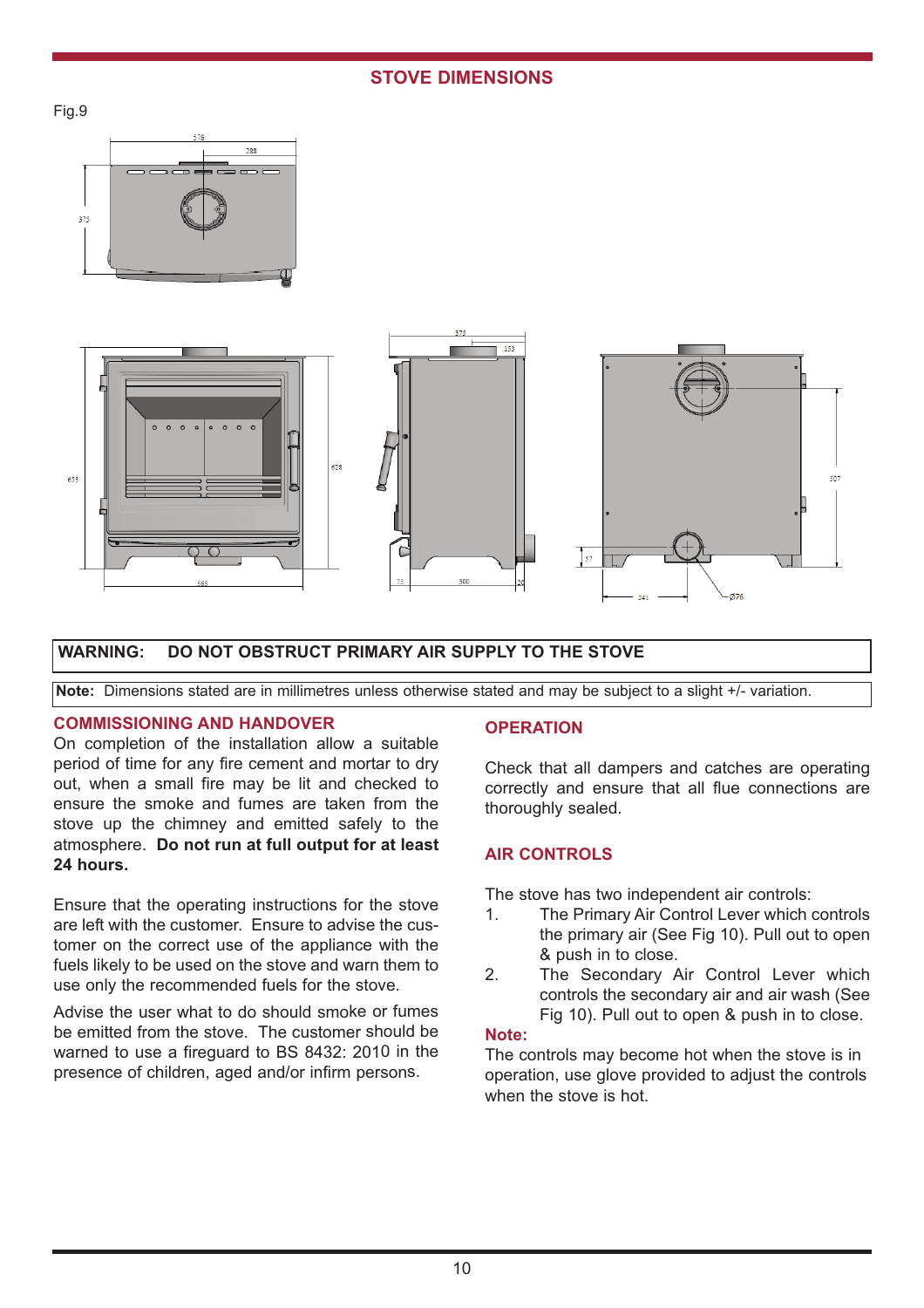# **STOVE DIMENSIONS**

Fig.9





# **WARNING: DO NOT OBSTRUCT PRIMARY AIR SUPPLY TO THE STOVE**

**Note:** Dimensions stated are in millimetres unless otherwise stated and may be subject to a slight +/- variation.

# **COMMISSIONING AND HANDOVER**

On completion of the installation allow a suitable period of time for any fire cement and mortar to dry out, when a small fire may be lit and checked to ensure the smoke and fumes are taken from the stove up the chimney and emitted safely to the atmosphere. **Do not run at full output for at least 24 hours.**

Ensure that the operating instructions for the stove are left with the customer. Ensure to advise the customer on the correct use of the appliance with the fuels likely to be used on the stove and warn them to use only the recommended fuels for the stove.

Advise the user what to do should smoke or fumes be emitted from the stove. The customer should be warned to use a fireguard to BS 8432: 2010 in the presence of children, aged and/or infirm persons.

# **OPERATION**

Check that all dampers and catches are operating correctly and ensure that all flue connections are thoroughly sealed.

# **AIR CONTROLS**

The stove has two independent air controls:

- 1. The Primary Air Control Lever which controls the primary air (See Fig 10). Pull out to open & push in to close.
- 2. The Secondary Air Control Lever which controls the secondary air and air wash (See Fig 10). Pull out to open & push in to close.

# **Note:**

The controls may become hot when the stove is in operation, use glove provided to adjust the controls when the stove is hot.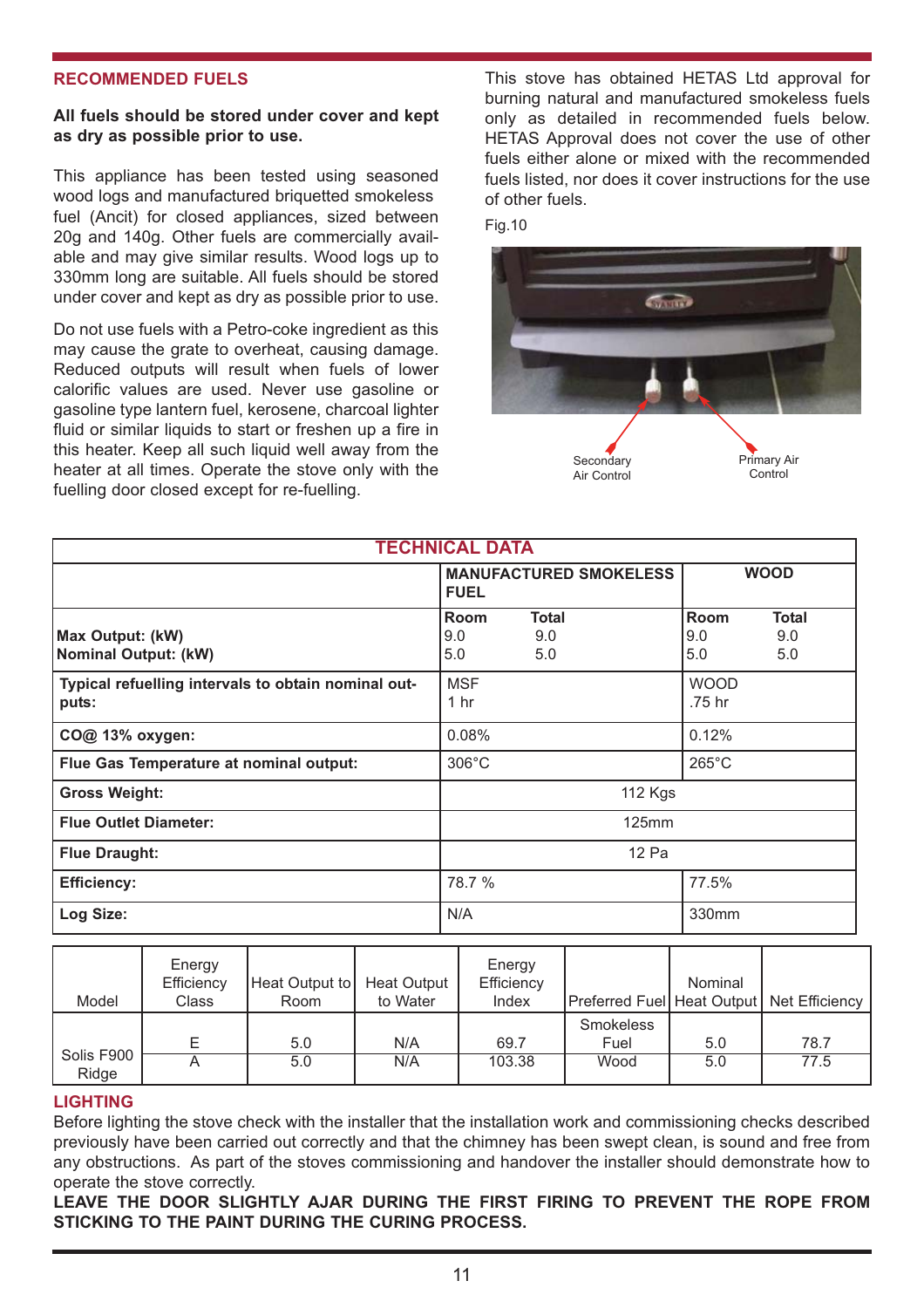### **RECOMMENDED FUELS**

#### **All fuels should be stored under cover and kept as dry as possible prior to use.**

This appliance has been tested using seasoned wood logs and manufactured briquetted smokeless fuel (Ancit) for closed appliances, sized between 20g and 140g. Other fuels are commercially available and may give similar results. Wood logs up to 330mm long are suitable. All fuels should be stored under cover and kept as dry as possible prior to use.

Do not use fuels with a Petro-coke ingredient as this may cause the grate to overheat, causing damage. Reduced outputs will result when fuels of lower calorific values are used. Never use gasoline or gasoline type lantern fuel, kerosene, charcoal lighter fluid or similar liquids to start or freshen up a fire in this heater. Keep all such liquid well away from the heater at all times. Operate the stove only with the fuelling door closed except for re-fuelling.

This stove has obtained HETAS Ltd approval for burning natural and manufactured smokeless fuels only as detailed in recommended fuels below. HETAS Approval does not cover the use of other fuels either alone or mixed with the recommended fuels listed, nor does it cover instructions for the use of other fuels.

Fig.10



| <b>TECHNICAL DATA</b>                                        |                                              |                            |                           |                            |
|--------------------------------------------------------------|----------------------------------------------|----------------------------|---------------------------|----------------------------|
|                                                              | <b>MANUFACTURED SMOKELESS</b><br><b>FUEL</b> |                            | <b>WOOD</b>               |                            |
| Max Output: (kW)<br><b>Nominal Output: (kW)</b>              | <b>Room</b><br>9.0<br>5.0                    | <b>Total</b><br>9.0<br>5.0 | <b>Room</b><br>9.0<br>5.0 | <b>Total</b><br>9.0<br>5.0 |
| Typical refuelling intervals to obtain nominal out-<br>puts: | <b>MSF</b><br>1 <sub>hr</sub>                |                            | <b>WOOD</b><br>.75 hr     |                            |
| CO@ 13% oxygen:                                              | 0.08%                                        |                            | 0.12%                     |                            |
| Flue Gas Temperature at nominal output:                      | $306^{\circ}$ C                              |                            | $265^{\circ}$ C           |                            |
| <b>Gross Weight:</b>                                         | <b>112 Kgs</b>                               |                            |                           |                            |
| <b>Flue Outlet Diameter:</b>                                 | 125mm                                        |                            |                           |                            |
| <b>Flue Draught:</b>                                         | 12 Pa                                        |                            |                           |                            |
| <b>Efficiency:</b>                                           | 78.7 %                                       |                            | 77.5%                     |                            |
| Log Size:                                                    | N/A                                          |                            | 330mm                     |                            |

| Model               | Energy<br>Efficiency<br><b>Class</b> | Heat Output to<br>Room | <b>Heat Output</b><br>to Water | Energy<br>Efficiency<br>Index |                                  | Nominal    | Preferred Fuel Heat Output Net Efficiency |
|---------------------|--------------------------------------|------------------------|--------------------------------|-------------------------------|----------------------------------|------------|-------------------------------------------|
| Solis F900<br>Ridge |                                      | 5.0<br>5.0             | N/A<br>N/A                     | 69.7<br>103.38                | <b>Smokeless</b><br>Fuel<br>Wood | 5.0<br>5.0 | 78.7<br>77.5                              |

# **LIGHTING**

Before lighting the stove check with the installer that the installation work and commissioning checks described previously have been carried out correctly and that the chimney has been swept clean, is sound and free from any obstructions. As part of the stoves commissioning and handover the installer should demonstrate how to operate the stove correctly.

**LEAVE THE DOOR SLIGHTLY AJAR DURING THE FIRST FIRING TO PREVENT THE ROPE FROM STICKING TO THE PAINT DURING THE CURING PROCESS.**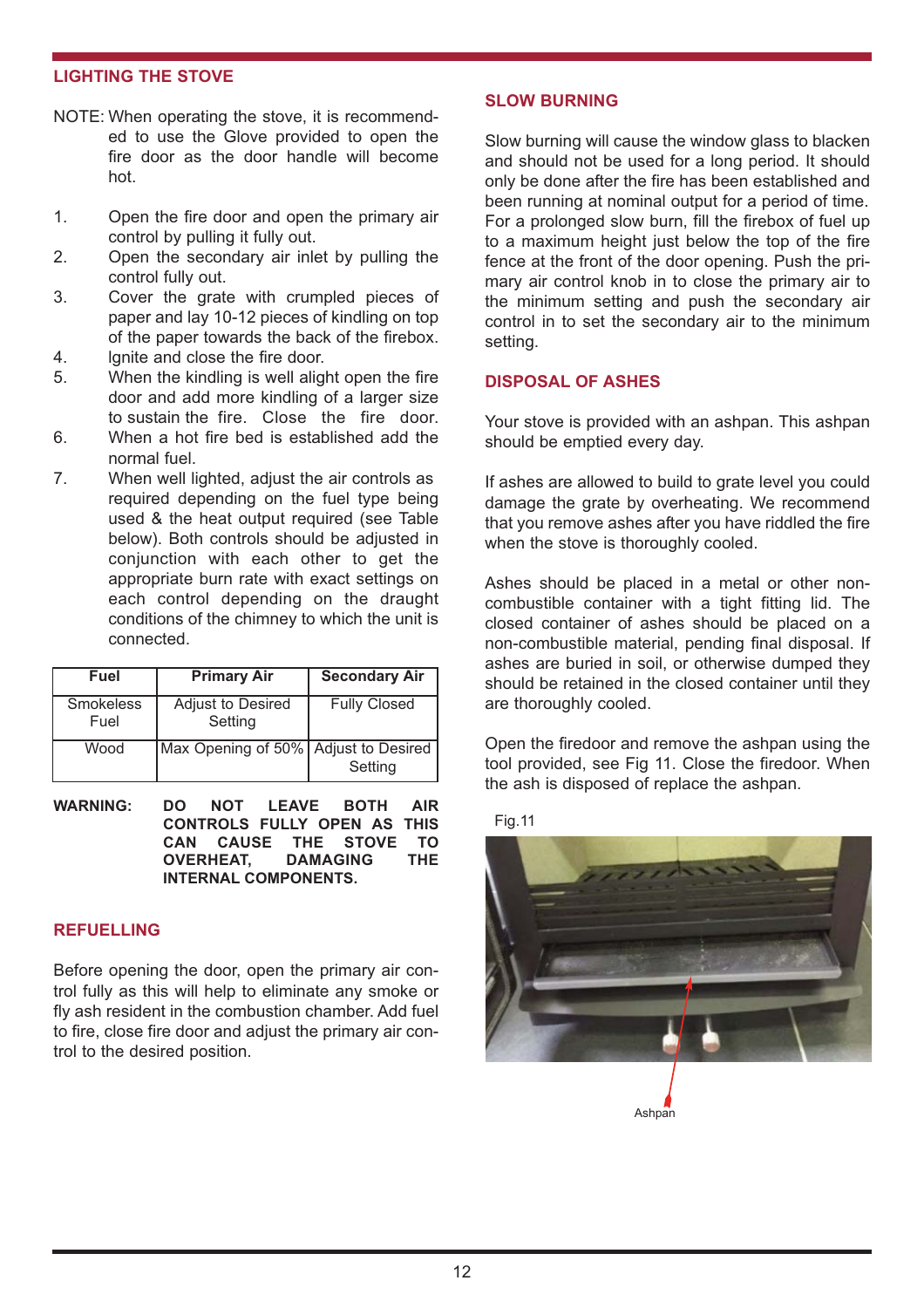# **LIGHTING THE STOVE**

- NOTE: When operating the stove, it is recommended to use the Glove provided to open the fire door as the door handle will become hot.
- 1. Open the fire door and open the primary air control by pulling it fully out.
- 2. Open the secondary air inlet by pulling the control fully out.
- 3. Cover the grate with crumpled pieces of paper and lay 10-12 pieces of kindling on top of the paper towards the back of the firebox.
- 4. lgnite and close the fire door.
- 5. When the kindling is well alight open the fire door and add more kindling of a larger size to sustain the fire. Close the fire door.
- 6. When a hot fire bed is established add the normal fuel.
- 7. When well lighted, adjust the air controls as required depending on the fuel type being used & the heat output required (see Table below). Both controls should be adjusted in conjunction with each other to get the appropriate burn rate with exact settings on each control depending on the draught conditions of the chimney to which the unit is connected.

| Fuel                     | <b>Primary Air</b>                   | <b>Secondary Air</b> |
|--------------------------|--------------------------------------|----------------------|
| <b>Smokeless</b><br>Fuel | Adjust to Desired<br>Setting         | <b>Fully Closed</b>  |
| Wood                     | Max Opening of 50% Adjust to Desired | Setting              |

**WARNING: DO NOT LEAVE BOTH AIR CONTROLS FULLY OPEN AS THIS CAN CAUSE THE STOVE TO OVERHEAT, DAMAGING THE INTERNAL COMPONENTS.**

# **REFUELLING**

Before opening the door, open the primary air control fully as this will help to eliminate any smoke or fly ash resident in the combustion chamber. Add fuel to fire, close fire door and adjust the primary air control to the desired position.

# **SLOW BURNING**

Slow burning will cause the window glass to blacken and should not be used for a long period. It should only be done after the fire has been established and been running at nominal output for a period of time. For a prolonged slow burn, fill the firebox of fuel up to a maximum height just below the top of the fire fence at the front of the door opening. Push the primary air control knob in to close the primary air to the minimum setting and push the secondary air control in to set the secondary air to the minimum setting.

# **DISPOSAL OF ASHES**

Your stove is provided with an ashpan. This ashpan should be emptied every day.

If ashes are allowed to build to grate level you could damage the grate by overheating. We recommend that you remove ashes after you have riddled the fire when the stove is thoroughly cooled.

Ashes should be placed in a metal or other noncombustible container with a tight fitting lid. The closed container of ashes should be placed on a non-combustible material, pending final disposal. If ashes are buried in soil, or otherwise dumped they should be retained in the closed container until they are thoroughly cooled.

Open the firedoor and remove the ashpan using the tool provided, see Fig 11. Close the firedoor. When the ash is disposed of replace the ashpan.

Fig.11

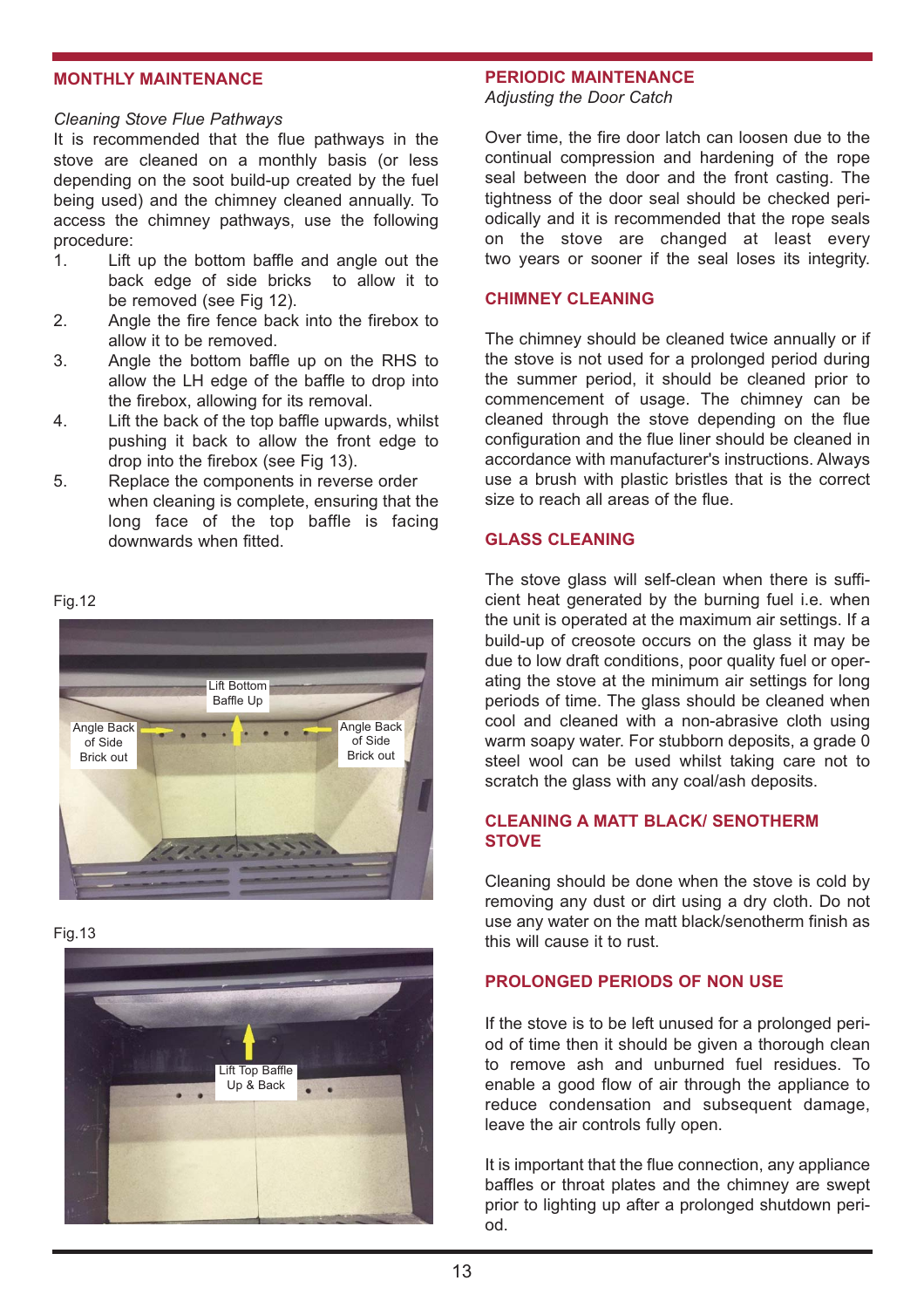# **MONTHLY MAINTENANCE**

#### *Cleaning Stove Flue Pathways*

It is recommended that the flue pathways in the stove are cleaned on a monthly basis (or less depending on the soot build-up created by the fuel being used) and the chimney cleaned annually. To access the chimney pathways, use the following procedure:

- 1. Lift up the bottom baffle and angle out the back edge of side bricks to allow it to be removed (see Fig 12).
- 2. Angle the fire fence back into the firebox to allow it to be removed.
- 3. Angle the bottom baffle up on the RHS to allow the LH edge of the baffle to drop into the firebox, allowing for its removal.
- 4. Lift the back of the top baffle upwards, whilst pushing it back to allow the front edge to drop into the firebox (see Fig 13).
- 5. Replace the components in reverse order when cleaning is complete, ensuring that the long face of the top baffle is facing downwards when fitted.

Fig.12







### **PERIODIC MAINTENANCE**

*Adjusting the Door Catch*

Over time, the fire door latch can loosen due to the continual compression and hardening of the rope seal between the door and the front casting. The tightness of the door seal should be checked periodically and it is recommended that the rope seals on the stove are changed at least every two years or sooner if the seal loses its integrity.

# **CHIMNEY CLEANING**

The chimney should be cleaned twice annually or if the stove is not used for a prolonged period during the summer period, it should be cleaned prior to commencement of usage. The chimney can be cleaned through the stove depending on the flue configuration and the flue liner should be cleaned in accordance with manufacturer's instructions. Always use a brush with plastic bristles that is the correct size to reach all areas of the flue.

# **GLASS CLEANING**

The stove glass will self-clean when there is sufficient heat generated by the burning fuel i.e. when the unit is operated at the maximum air settings. If a build-up of creosote occurs on the glass it may be due to low draft conditions, poor quality fuel or operating the stove at the minimum air settings for long periods of time. The glass should be cleaned when cool and cleaned with a non-abrasive cloth using warm soapy water. For stubborn deposits, a grade 0 steel wool can be used whilst taking care not to scratch the glass with any coal/ash deposits.

# **CLEANING A MATT BLACK/ SENOTHERM STOVE**

Cleaning should be done when the stove is cold by removing any dust or dirt using a dry cloth. Do not use any water on the matt black/senotherm finish as this will cause it to rust.

# **PROLONGED PERIODS OF NON USE**

If the stove is to be left unused for a prolonged period of time then it should be given a thorough clean to remove ash and unburned fuel residues. To enable a good flow of air through the appliance to reduce condensation and subsequent damage, leave the air controls fully open.

It is important that the flue connection, any appliance baffles or throat plates and the chimney are swept prior to lighting up after a prolonged shutdown period.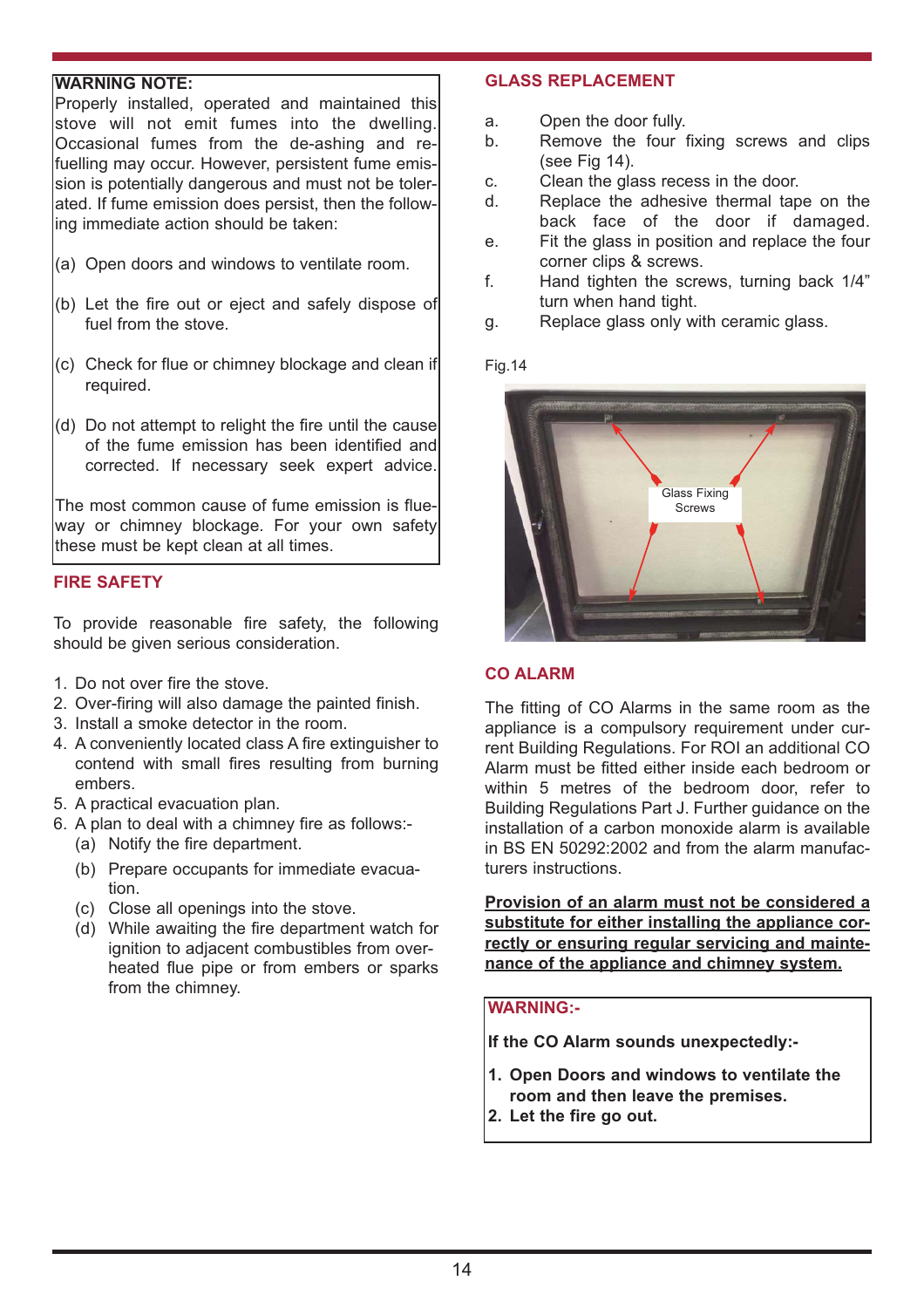# **WARNING NOTE:**

Properly installed, operated and maintained this stove will not emit fumes into the dwelling. Occasional fumes from the de-ashing and refuelling may occur. However, persistent fume emission is potentially dangerous and must not be tolerated. If fume emission does persist, then the following immediate action should be taken:

- (a) Open doors and windows to ventilate room.
- (b) Let the fire out or eject and safely dispose of fuel from the stove.
- (c) Check for flue or chimney blockage and clean if required.
- (d) Do not attempt to relight the fire until the cause of the fume emission has been identified and corrected. If necessary seek expert advice.

The most common cause of fume emission is flueway or chimney blockage. For your own safety these must be kept clean at all times.

# **FIRE SAFETY**

To provide reasonable fire safety, the following should be given serious consideration.

- 1. Do not over fire the stove.
- 2. Over-firing will also damage the painted finish.
- 3. Install a smoke detector in the room.
- 4. A conveniently located class A fire extinguisher to contend with small fires resulting from burning embers.
- 5. A practical evacuation plan.
- 6. A plan to deal with a chimney fire as follows:-
	- (a) Notify the fire department.
	- (b) Prepare occupants for immediate evacuation.
	- (c) Close all openings into the stove.
	- (d) While awaiting the fire department watch for ignition to adjacent combustibles from overheated flue pipe or from embers or sparks from the chimney.

# **GLASS REPLACEMENT**

- a. Open the door fully.
- b. Remove the four fixing screws and clips (see Fig 14).
- c. Clean the glass recess in the door.
- d. Replace the adhesive thermal tape on the back face of the door if damaged.
- e. Fit the glass in position and replace the four corner clips & screws.
- f. Hand tighten the screws, turning back 1/4" turn when hand tight.
- g. Replace glass only with ceramic glass.

## Fig.14



# **CO ALARM**

The fitting of CO Alarms in the same room as the appliance is a compulsory requirement under current Building Regulations. For ROI an additional CO Alarm must be fitted either inside each bedroom or within 5 metres of the bedroom door, refer to Building Regulations Part J. Further guidance on the installation of a carbon monoxide alarm is available in BS EN 50292:2002 and from the alarm manufacturers instructions.

**Provision of an alarm must not be considered a substitute for either installing the appliance correctly or ensuring regular servicing and maintenance of the appliance and chimney system.**

# **WARNING:-**

**If the CO Alarm sounds unexpectedly:-**

- **1. Open Doors and windows to ventilate the room and then leave the premises.**
- **2. Let the fire go out.**